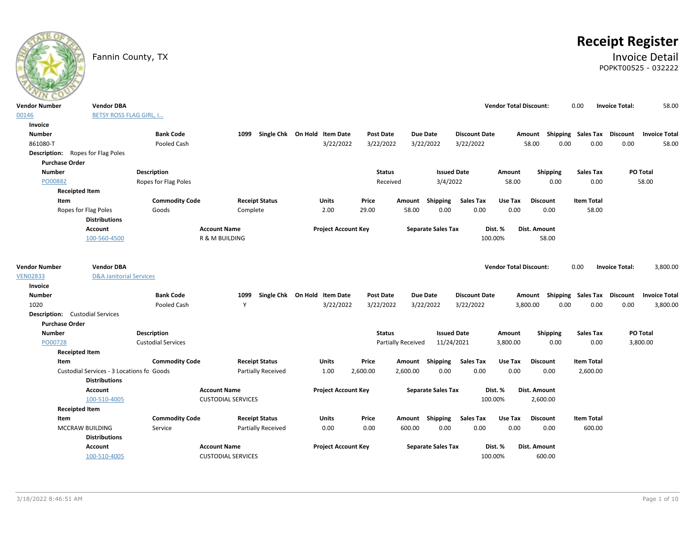# **Receipt Register**

### Fannin County, TX **Invoice Detail** POPKT00525 - 032222

| <b>Vendor Number</b>  | <b>Vendor DBA</b>                         |                           |                           |                              |                            |                  |                    |                           |                      | <b>Vendor Total Discount:</b> |                                    | 0.00                      | <b>Invoice Total:</b> | 58.00                |
|-----------------------|-------------------------------------------|---------------------------|---------------------------|------------------------------|----------------------------|------------------|--------------------|---------------------------|----------------------|-------------------------------|------------------------------------|---------------------------|-----------------------|----------------------|
| 00146                 | <b>BETSY ROSS FLAG GIRL, I</b>            |                           |                           |                              |                            |                  |                    |                           |                      |                               |                                    |                           |                       |                      |
| Invoice               |                                           |                           |                           |                              |                            |                  |                    |                           |                      |                               |                                    |                           |                       |                      |
| <b>Number</b>         |                                           | <b>Bank Code</b>          | 1099                      | Single Chk On Hold Item Date |                            | Post Date        |                    | <b>Due Date</b>           | <b>Discount Date</b> |                               | Amount                             | <b>Shipping Sales Tax</b> | Discount              | <b>Invoice Total</b> |
| 861080-T              |                                           | Pooled Cash               |                           |                              | 3/22/2022                  | 3/22/2022        |                    | 3/22/2022                 | 3/22/2022            |                               | 58.00<br>0.00                      | 0.00                      | 0.00                  | 58.00                |
|                       | <b>Description:</b> Ropes for Flag Poles  |                           |                           |                              |                            |                  |                    |                           |                      |                               |                                    |                           |                       |                      |
| <b>Purchase Order</b> |                                           |                           |                           |                              |                            |                  |                    |                           |                      |                               |                                    |                           |                       |                      |
| <b>Number</b>         |                                           | Description               |                           |                              |                            | <b>Status</b>    |                    | <b>Issued Date</b>        |                      | Amount                        | Shipping                           | <b>Sales Tax</b>          |                       | PO Total             |
| PO00882               |                                           | Ropes for Flag Poles      |                           |                              |                            | Received         |                    | 3/4/2022                  |                      | 58.00                         | 0.00                               | 0.00                      |                       | 58.00                |
|                       | <b>Receipted Item</b>                     |                           |                           |                              |                            |                  |                    |                           |                      |                               |                                    |                           |                       |                      |
| Item                  |                                           | <b>Commodity Code</b>     | <b>Receipt Status</b>     |                              | <b>Units</b>               | Price            | Amount             | Shipping                  | <b>Sales Tax</b>     | Use Tax                       | <b>Discount</b>                    | <b>Item Total</b>         |                       |                      |
|                       | Ropes for Flag Poles                      | Goods                     | Complete                  |                              | 2.00                       | 29.00            | 58.00              | 0.00                      | 0.00                 | 0.00                          | 0.00                               | 58.00                     |                       |                      |
|                       | <b>Distributions</b>                      |                           |                           |                              |                            |                  |                    |                           |                      |                               |                                    |                           |                       |                      |
|                       | Account                                   |                           | <b>Account Name</b>       |                              | <b>Project Account Key</b> |                  |                    | <b>Separate Sales Tax</b> |                      | Dist. %                       | Dist. Amount                       |                           |                       |                      |
|                       | 100-560-4500                              |                           | R & M BUILDING            |                              |                            |                  |                    |                           |                      | 100.00%                       | 58.00                              |                           |                       |                      |
|                       |                                           |                           |                           |                              |                            |                  |                    |                           |                      |                               |                                    |                           |                       |                      |
| <b>Vendor Number</b>  | <b>Vendor DBA</b>                         |                           |                           |                              |                            |                  |                    |                           |                      | <b>Vendor Total Discount:</b> |                                    | 0.00                      | <b>Invoice Total:</b> | 3,800.00             |
| <b>VEN02833</b>       | <b>D&amp;A Janitorial Services</b>        |                           |                           |                              |                            |                  |                    |                           |                      |                               |                                    |                           |                       |                      |
| Invoice               |                                           |                           |                           |                              |                            |                  |                    |                           |                      |                               |                                    |                           |                       |                      |
| <b>Number</b>         |                                           | <b>Bank Code</b>          | 1099                      | Single Chk On Hold Item Date |                            | <b>Post Date</b> |                    | <b>Due Date</b>           | <b>Discount Date</b> |                               | Amount Shipping Sales Tax Discount |                           |                       | <b>Invoice Total</b> |
| 1020                  |                                           | Pooled Cash               | Y                         |                              | 3/22/2022                  | 3/22/2022        |                    | 3/22/2022                 | 3/22/2022            |                               | 3,800.00<br>0.00                   | 0.00                      | 0.00                  | 3,800.00             |
|                       | <b>Description:</b> Custodial Services    |                           |                           |                              |                            |                  |                    |                           |                      |                               |                                    |                           |                       |                      |
| <b>Purchase Order</b> |                                           |                           |                           |                              |                            |                  |                    |                           |                      |                               |                                    |                           |                       |                      |
| <b>Number</b>         |                                           | <b>Description</b>        |                           |                              |                            | <b>Status</b>    |                    | <b>Issued Date</b>        |                      | Amount                        | Shipping                           | <b>Sales Tax</b>          |                       | PO Total             |
| PO00728               |                                           | <b>Custodial Services</b> |                           |                              |                            |                  | Partially Received | 11/24/2021                |                      | 3,800.00                      | 0.00                               | 0.00                      |                       | 3,800.00             |
|                       | <b>Receipted Item</b>                     |                           |                           |                              |                            |                  |                    |                           |                      |                               |                                    |                           |                       |                      |
| Item                  |                                           | <b>Commodity Code</b>     | <b>Receipt Status</b>     |                              | <b>Units</b>               | Price            | Amount             | <b>Shipping</b>           | <b>Sales Tax</b>     | Use Tax                       | <b>Discount</b>                    | <b>Item Total</b>         |                       |                      |
|                       | Custodial Services - 3 Locations fo Goods |                           | Partially Received        |                              | 1.00                       | 2,600.00         | 2,600.00           | 0.00                      | 0.00                 | 0.00                          | 0.00                               | 2,600.00                  |                       |                      |
|                       | <b>Distributions</b>                      |                           |                           |                              |                            |                  |                    |                           |                      |                               |                                    |                           |                       |                      |
|                       | Account                                   |                           | <b>Account Name</b>       |                              | <b>Project Account Key</b> |                  |                    | <b>Separate Sales Tax</b> |                      | Dist. %                       | Dist. Amount                       |                           |                       |                      |
|                       | 100-510-4005                              |                           | <b>CUSTODIAL SERVICES</b> |                              |                            |                  |                    |                           |                      | 100.00%                       | 2,600.00                           |                           |                       |                      |
|                       | <b>Receipted Item</b>                     |                           |                           |                              |                            |                  |                    |                           |                      |                               |                                    |                           |                       |                      |
| Item                  |                                           | <b>Commodity Code</b>     | <b>Receipt Status</b>     |                              | <b>Units</b>               | Price            |                    | Amount Shipping           | <b>Sales Tax</b>     | Use Tax                       | <b>Discount</b>                    | <b>Item Total</b>         |                       |                      |
|                       | MCCRAW BUILDING                           | Service                   | Partially Received        |                              | 0.00                       | 0.00             | 600.00             | 0.00                      | 0.00                 | 0.00                          | 0.00                               | 600.00                    |                       |                      |
|                       | <b>Distributions</b>                      |                           |                           |                              |                            |                  |                    |                           |                      |                               |                                    |                           |                       |                      |
|                       | <b>Account</b>                            |                           | <b>Account Name</b>       |                              | <b>Project Account Key</b> |                  |                    | <b>Separate Sales Tax</b> |                      | Dist. %                       | Dist. Amount                       |                           |                       |                      |
|                       | 100-510-4005                              |                           | <b>CUSTODIAL SERVICES</b> |                              |                            |                  |                    |                           |                      | 100.00%                       | 600.00                             |                           |                       |                      |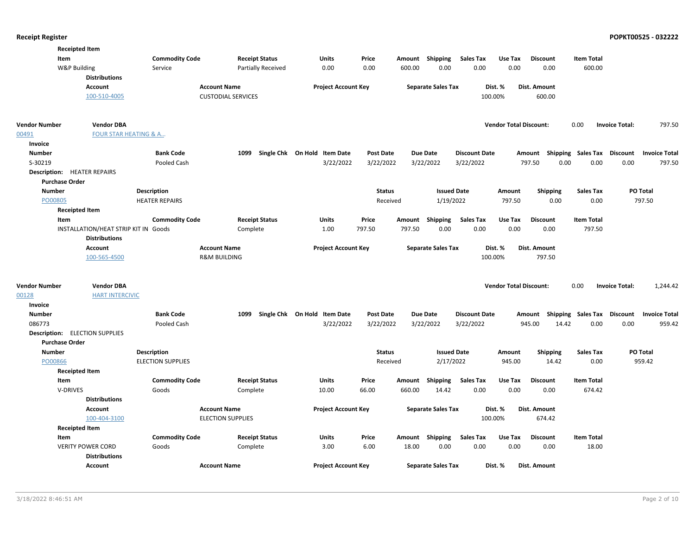|                       | <b>Receipted Item</b>                 |                          |                           |                              |                  |                           |                      |                               |                           |                   |                                   |
|-----------------------|---------------------------------------|--------------------------|---------------------------|------------------------------|------------------|---------------------------|----------------------|-------------------------------|---------------------------|-------------------|-----------------------------------|
|                       | Item                                  | <b>Commodity Code</b>    | <b>Receipt Status</b>     | Units                        | Price            | Shipping<br>Amount        | <b>Sales Tax</b>     | Use Tax                       | <b>Discount</b>           | <b>Item Total</b> |                                   |
|                       | W&P Building                          | Service                  | <b>Partially Received</b> | 0.00                         | 0.00             | 600.00<br>0.00            | 0.00                 | 0.00                          | 0.00                      | 600.00            |                                   |
|                       | <b>Distributions</b>                  |                          |                           |                              |                  |                           |                      |                               |                           |                   |                                   |
|                       | <b>Account</b>                        | <b>Account Name</b>      |                           | <b>Project Account Key</b>   |                  | <b>Separate Sales Tax</b> |                      | Dist. %                       | Dist. Amount              |                   |                                   |
|                       | 100-510-4005                          |                          | <b>CUSTODIAL SERVICES</b> |                              |                  |                           | 100.00%              |                               | 600.00                    |                   |                                   |
| <b>Vendor Number</b>  | <b>Vendor DBA</b>                     |                          |                           |                              |                  |                           |                      | <b>Vendor Total Discount:</b> |                           | 0.00              | <b>Invoice Total:</b><br>797.50   |
| 00491                 | <b>FOUR STAR HEATING &amp; A</b>      |                          |                           |                              |                  |                           |                      |                               |                           |                   |                                   |
| Invoice               |                                       |                          |                           |                              |                  |                           |                      |                               |                           |                   |                                   |
| <b>Number</b>         |                                       | <b>Bank Code</b>         | 1099                      | Single Chk On Hold Item Date | <b>Post Date</b> | <b>Due Date</b>           | <b>Discount Date</b> |                               | Amount Shipping Sales Tax |                   | Discount<br><b>Invoice Total</b>  |
| S-30219               |                                       | Pooled Cash              |                           | 3/22/2022                    | 3/22/2022        | 3/22/2022                 | 3/22/2022            | 797.50                        | 0.00                      | 0.00              | 0.00<br>797.50                    |
|                       | <b>Description: HEATER REPAIRS</b>    |                          |                           |                              |                  |                           |                      |                               |                           |                   |                                   |
| <b>Purchase Order</b> |                                       |                          |                           |                              |                  |                           |                      |                               |                           |                   |                                   |
| <b>Number</b>         |                                       | <b>Description</b>       |                           |                              | <b>Status</b>    |                           | <b>Issued Date</b>   | Amount                        | Shipping                  | <b>Sales Tax</b>  | PO Total                          |
| PO00805               |                                       | <b>HEATER REPAIRS</b>    |                           |                              | Received         | 1/19/2022                 |                      | 797.50                        | 0.00                      | 0.00              | 797.50                            |
|                       | <b>Receipted Item</b>                 |                          |                           |                              |                  |                           |                      |                               |                           |                   |                                   |
|                       | Item                                  | <b>Commodity Code</b>    | <b>Receipt Status</b>     | Units                        | Price            | Amount Shipping           | <b>Sales Tax</b>     | Use Tax                       | <b>Discount</b>           | <b>Item Total</b> |                                   |
|                       | INSTALLATION/HEAT STRIP KIT IN Goods  |                          | Complete                  | 1.00                         | 797.50           | 797.50<br>0.00            | 0.00                 | 0.00                          | 0.00                      | 797.50            |                                   |
|                       | <b>Distributions</b>                  |                          |                           |                              |                  |                           |                      |                               |                           |                   |                                   |
|                       | Account                               | <b>Account Name</b>      |                           | <b>Project Account Key</b>   |                  | <b>Separate Sales Tax</b> |                      | Dist. %                       | Dist. Amount              |                   |                                   |
|                       | 100-565-4500                          |                          | <b>R&amp;M BUILDING</b>   |                              |                  |                           |                      | 100.00%                       | 797.50                    |                   |                                   |
|                       |                                       |                          |                           |                              |                  |                           |                      |                               |                           |                   |                                   |
| <b>Vendor Number</b>  | <b>Vendor DBA</b>                     |                          |                           |                              |                  |                           |                      | <b>Vendor Total Discount:</b> |                           | 0.00              | <b>Invoice Total:</b><br>1,244.42 |
| 00128                 | <b>HART INTERCIVIC</b>                |                          |                           |                              |                  |                           |                      |                               |                           |                   |                                   |
| Invoice               |                                       |                          |                           |                              |                  |                           |                      |                               |                           |                   |                                   |
| <b>Number</b>         |                                       | <b>Bank Code</b>         | 1099                      | Single Chk On Hold Item Date | <b>Post Date</b> | Due Date                  | <b>Discount Date</b> |                               | Amount Shipping Sales Tax |                   | Discount<br><b>Invoice Total</b>  |
| 086773                |                                       | Pooled Cash              |                           | 3/22/2022                    | 3/22/2022        | 3/22/2022                 | 3/22/2022            | 945.00                        | 14.42                     | 0.00              | 0.00<br>959.42                    |
|                       | <b>Description:</b> ELECTION SUPPLIES |                          |                           |                              |                  |                           |                      |                               |                           |                   |                                   |
| <b>Purchase Order</b> |                                       |                          |                           |                              |                  |                           |                      |                               |                           |                   |                                   |
| <b>Number</b>         |                                       | <b>Description</b>       |                           |                              | <b>Status</b>    |                           | <b>Issued Date</b>   | Amount                        | <b>Shipping</b>           | <b>Sales Tax</b>  | <b>PO Total</b>                   |
| PO00866               |                                       | <b>ELECTION SUPPLIES</b> |                           |                              | Received         | 2/17/2022                 |                      | 945.00                        | 14.42                     | 0.00              | 959.42                            |
|                       | <b>Receipted Item</b>                 |                          |                           |                              |                  |                           |                      |                               |                           |                   |                                   |
|                       | Item                                  | <b>Commodity Code</b>    | <b>Receipt Status</b>     | <b>Units</b>                 | Price            | Shipping<br>Amount        | <b>Sales Tax</b>     | Use Tax                       | <b>Discount</b>           | <b>Item Total</b> |                                   |
|                       | V-DRIVES                              | Goods                    | Complete                  | 10.00                        | 66.00            | 14.42<br>660.00           | 0.00                 | 0.00                          | 0.00                      | 674.42            |                                   |
|                       | <b>Distributions</b>                  |                          |                           |                              |                  |                           |                      |                               |                           |                   |                                   |
|                       | <b>Account</b>                        | <b>Account Name</b>      |                           | <b>Project Account Key</b>   |                  | <b>Separate Sales Tax</b> |                      | Dist. %                       | Dist. Amount              |                   |                                   |
|                       | 100-404-3100                          |                          | <b>ELECTION SUPPLIES</b>  |                              |                  |                           |                      | 100.00%                       | 674.42                    |                   |                                   |
|                       | <b>Receipted Item</b>                 |                          |                           |                              |                  |                           |                      |                               |                           |                   |                                   |
|                       | Item                                  | <b>Commodity Code</b>    | <b>Receipt Status</b>     | Units                        | Price            | Amount Shipping           | <b>Sales Tax</b>     | Use Tax                       | <b>Discount</b>           | <b>Item Total</b> |                                   |
|                       | <b>VERITY POWER CORD</b>              | Goods                    | Complete                  | 3.00                         | 6.00             | 18.00<br>0.00             | 0.00                 | 0.00                          | 0.00                      | 18.00             |                                   |
|                       | <b>Distributions</b>                  |                          |                           |                              |                  |                           |                      |                               |                           |                   |                                   |
|                       | <b>Account</b>                        | <b>Account Name</b>      |                           | <b>Project Account Key</b>   |                  | <b>Separate Sales Tax</b> |                      | Dist. %                       | Dist. Amount              |                   |                                   |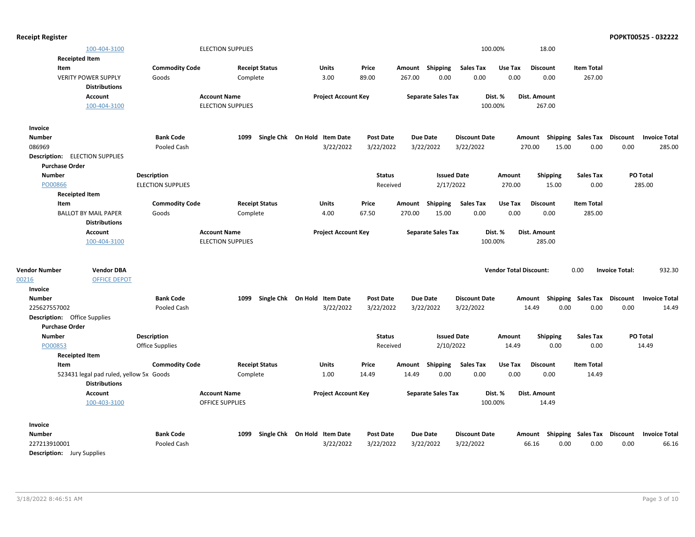|                                       | 100-404-3100                            |                          | <b>ELECTION SUPPLIES</b> |                       |                              |                            |                  |        |                           | 100.00%              |                               | 18.00           |                                    |                       |                      |
|---------------------------------------|-----------------------------------------|--------------------------|--------------------------|-----------------------|------------------------------|----------------------------|------------------|--------|---------------------------|----------------------|-------------------------------|-----------------|------------------------------------|-----------------------|----------------------|
| <b>Receipted Item</b>                 |                                         |                          |                          |                       |                              |                            |                  |        |                           |                      |                               |                 |                                    |                       |                      |
| Item                                  |                                         | <b>Commodity Code</b>    |                          | <b>Receipt Status</b> | Units                        |                            | Price            |        | Amount Shipping           | <b>Sales Tax</b>     | Use Tax                       | <b>Discount</b> | <b>Item Total</b>                  |                       |                      |
|                                       | <b>VERITY POWER SUPPLY</b>              | Goods                    | Complete                 |                       | 3.00                         |                            | 89.00            | 267.00 | 0.00                      | 0.00                 | 0.00                          | 0.00            | 267.00                             |                       |                      |
|                                       | <b>Distributions</b>                    |                          |                          |                       |                              |                            |                  |        |                           |                      |                               |                 |                                    |                       |                      |
|                                       | Account                                 |                          | <b>Account Name</b>      |                       |                              | <b>Project Account Key</b> |                  |        | <b>Separate Sales Tax</b> |                      | Dist. %                       | Dist. Amount    |                                    |                       |                      |
|                                       | 100-404-3100                            |                          | <b>ELECTION SUPPLIES</b> |                       |                              |                            |                  |        |                           | 100.00%              |                               | 267.00          |                                    |                       |                      |
| Invoice                               |                                         |                          |                          |                       |                              |                            |                  |        |                           |                      |                               |                 |                                    |                       |                      |
| <b>Number</b>                         |                                         | <b>Bank Code</b>         | 1099                     |                       | Single Chk On Hold Item Date |                            | <b>Post Date</b> |        | <b>Due Date</b>           | <b>Discount Date</b> |                               | Amount          | Shipping Sales Tax Discount        |                       | <b>Invoice Total</b> |
| 086969                                |                                         | Pooled Cash              |                          |                       |                              | 3/22/2022                  | 3/22/2022        |        | 3/22/2022                 | 3/22/2022            |                               | 270.00          | 0.00<br>15.00                      | 0.00                  | 285.00               |
| <b>Description:</b> ELECTION SUPPLIES |                                         |                          |                          |                       |                              |                            |                  |        |                           |                      |                               |                 |                                    |                       |                      |
| <b>Purchase Order</b>                 |                                         |                          |                          |                       |                              |                            |                  |        |                           |                      |                               |                 |                                    |                       |                      |
| <b>Number</b>                         |                                         | <b>Description</b>       |                          |                       |                              |                            | <b>Status</b>    |        | <b>Issued Date</b>        |                      | Amount                        | <b>Shipping</b> | Sales Tax                          |                       | PO Total             |
| PO00866                               |                                         | <b>ELECTION SUPPLIES</b> |                          |                       |                              |                            | Received         |        | 2/17/2022                 |                      | 270.00                        | 15.00           | 0.00                               |                       | 285.00               |
| <b>Receipted Item</b>                 |                                         |                          |                          |                       |                              |                            |                  |        |                           |                      |                               |                 |                                    |                       |                      |
| Item                                  |                                         | <b>Commodity Code</b>    |                          | <b>Receipt Status</b> | Units                        |                            | Price            | Amount | Shipping                  | <b>Sales Tax</b>     | Use Tax                       | <b>Discount</b> | <b>Item Total</b>                  |                       |                      |
|                                       | <b>BALLOT BY MAIL PAPER</b>             | Goods                    | Complete                 |                       | 4.00                         |                            | 67.50            | 270.00 | 15.00                     | 0.00                 | 0.00                          | 0.00            | 285.00                             |                       |                      |
|                                       | <b>Distributions</b>                    |                          |                          |                       |                              |                            |                  |        |                           |                      |                               |                 |                                    |                       |                      |
|                                       | <b>Account</b>                          |                          | <b>Account Name</b>      |                       |                              | <b>Project Account Key</b> |                  |        | <b>Separate Sales Tax</b> |                      | Dist. %                       | Dist. Amount    |                                    |                       |                      |
|                                       | 100-404-3100                            |                          | <b>ELECTION SUPPLIES</b> |                       |                              |                            |                  |        |                           | 100.00%              |                               | 285.00          |                                    |                       |                      |
|                                       |                                         |                          |                          |                       |                              |                            |                  |        |                           |                      |                               |                 |                                    |                       |                      |
| <b>Vendor Number</b>                  | <b>Vendor DBA</b>                       |                          |                          |                       |                              |                            |                  |        |                           |                      | <b>Vendor Total Discount:</b> |                 | 0.00                               | <b>Invoice Total:</b> | 932.30               |
| 00216                                 | <b>OFFICE DEPOT</b>                     |                          |                          |                       |                              |                            |                  |        |                           |                      |                               |                 |                                    |                       |                      |
| Invoice                               |                                         |                          |                          |                       |                              |                            |                  |        |                           |                      |                               |                 |                                    |                       |                      |
| <b>Number</b>                         |                                         | <b>Bank Code</b>         | 1099                     |                       | Single Chk On Hold Item Date |                            | <b>Post Date</b> |        | Due Date                  | <b>Discount Date</b> |                               |                 | Amount Shipping Sales Tax Discount |                       | <b>Invoice Total</b> |
| 225627557002                          |                                         | Pooled Cash              |                          |                       |                              | 3/22/2022                  | 3/22/2022        |        | 3/22/2022                 | 3/22/2022            |                               | 14.49           | 0.00<br>0.00                       | 0.00                  | 14.49                |
| <b>Description:</b> Office Supplies   |                                         |                          |                          |                       |                              |                            |                  |        |                           |                      |                               |                 |                                    |                       |                      |
| <b>Purchase Order</b>                 |                                         |                          |                          |                       |                              |                            |                  |        |                           |                      |                               |                 |                                    |                       |                      |
| <b>Number</b>                         |                                         | <b>Description</b>       |                          |                       |                              |                            | <b>Status</b>    |        | <b>Issued Date</b>        |                      | Amount                        | Shipping        | <b>Sales Tax</b>                   |                       | PO Total             |
| PO00853                               |                                         | Office Supplies          |                          |                       |                              |                            | Received         |        | 2/10/2022                 |                      | 14.49                         | 0.00            | 0.00                               |                       | 14.49                |
| <b>Receipted Item</b>                 |                                         |                          |                          |                       |                              |                            |                  |        |                           |                      |                               |                 |                                    |                       |                      |
| Item                                  |                                         | <b>Commodity Code</b>    |                          | <b>Receipt Status</b> | Units                        |                            | Price            | Amount | Shipping                  | <b>Sales Tax</b>     | Use Tax                       | <b>Discount</b> | <b>Item Total</b>                  |                       |                      |
|                                       | 523431 legal pad ruled, yellow 5x Goods |                          | Complete                 |                       | 1.00                         |                            | 14.49            | 14.49  | 0.00                      | 0.00                 | 0.00                          | 0.00            | 14.49                              |                       |                      |
|                                       | <b>Distributions</b>                    |                          |                          |                       |                              |                            |                  |        |                           |                      |                               |                 |                                    |                       |                      |
|                                       | Account                                 |                          | <b>Account Name</b>      |                       |                              | <b>Project Account Key</b> |                  |        | <b>Separate Sales Tax</b> |                      | Dist. %                       | Dist. Amount    |                                    |                       |                      |
|                                       | 100-403-3100                            |                          | <b>OFFICE SUPPLIES</b>   |                       |                              |                            |                  |        |                           | 100.00%              |                               | 14.49           |                                    |                       |                      |
|                                       |                                         |                          |                          |                       |                              |                            |                  |        |                           |                      |                               |                 |                                    |                       |                      |

**Receipt Register POPKT00525 - 032222**

### 227213910001 Pooled Cash 3/22/2022 3/22/2022 3/22/2022 66.16 0.00 0.00 66.16 Description: Jury Supplies Number **Bank Code** 1099 Single Chk On Hold Item Date Post Date Due Date Discount Date Amount Shipping Sales Tax Discount Invoice Total 1099 Single Chk On Hold Item Date **Invoice** 0.00 3/22/2022 **Discount Date**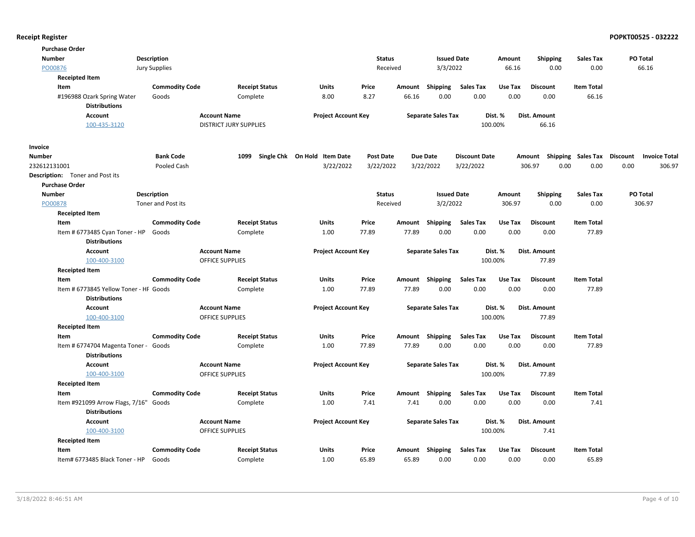| <b>Purchase Order</b>                                   |                       |                               |                              |                  |        |                           |                      |         |                                    |                   |                      |
|---------------------------------------------------------|-----------------------|-------------------------------|------------------------------|------------------|--------|---------------------------|----------------------|---------|------------------------------------|-------------------|----------------------|
| <b>Number</b>                                           | <b>Description</b>    |                               |                              | <b>Status</b>    |        | <b>Issued Date</b>        |                      | Amount  | <b>Shipping</b>                    | Sales Tax         | PO Total             |
| PO00876                                                 | <b>Jury Supplies</b>  |                               |                              | Received         |        | 3/3/2022                  |                      | 66.16   | 0.00                               | 0.00              | 66.16                |
| <b>Receipted Item</b>                                   |                       |                               |                              |                  |        |                           |                      |         |                                    |                   |                      |
| Item                                                    | <b>Commodity Code</b> | <b>Receipt Status</b>         | <b>Units</b>                 | Price            | Amount | Shipping                  | <b>Sales Tax</b>     | Use Tax | <b>Discount</b>                    | <b>Item Total</b> |                      |
| #196988 Ozark Spring Water                              | Goods                 | Complete                      | 8.00                         | 8.27             | 66.16  | 0.00                      | 0.00                 | 0.00    | 0.00                               | 66.16             |                      |
| <b>Distributions</b>                                    |                       |                               |                              |                  |        |                           |                      |         |                                    |                   |                      |
| <b>Account</b>                                          |                       | <b>Account Name</b>           | <b>Project Account Key</b>   |                  |        | <b>Separate Sales Tax</b> |                      | Dist. % | Dist. Amount                       |                   |                      |
| 100-435-3120                                            |                       | <b>DISTRICT JURY SUPPLIES</b> |                              |                  |        |                           | 100.00%              |         | 66.16                              |                   |                      |
| Invoice                                                 |                       |                               |                              |                  |        |                           |                      |         |                                    |                   |                      |
| <b>Number</b>                                           | <b>Bank Code</b>      | 1099                          | Single Chk On Hold Item Date | <b>Post Date</b> |        | <b>Due Date</b>           | <b>Discount Date</b> |         | Amount Shipping Sales Tax Discount |                   | <b>Invoice Total</b> |
| 232612131001                                            | Pooled Cash           |                               | 3/22/2022                    | 3/22/2022        |        | 3/22/2022                 | 3/22/2022            |         | 306.97<br>0.00                     | 0.00              | 0.00<br>306.97       |
| <b>Description:</b> Toner and Post its                  |                       |                               |                              |                  |        |                           |                      |         |                                    |                   |                      |
| <b>Purchase Order</b>                                   |                       |                               |                              |                  |        |                           |                      |         |                                    |                   |                      |
| <b>Number</b>                                           | <b>Description</b>    |                               |                              | <b>Status</b>    |        | <b>Issued Date</b>        |                      | Amount  | <b>Shipping</b>                    | <b>Sales Tax</b>  | PO Total             |
| PO00878                                                 | Toner and Post its    |                               |                              | Received         |        | 3/2/2022                  |                      | 306.97  | 0.00                               | 0.00              | 306.97               |
| <b>Receipted Item</b>                                   |                       |                               |                              |                  |        |                           |                      |         |                                    |                   |                      |
| Item                                                    | <b>Commodity Code</b> | <b>Receipt Status</b>         | Units                        | Price            | Amount | Shipping                  | <b>Sales Tax</b>     | Use Tax | <b>Discount</b>                    | <b>Item Total</b> |                      |
| Item # 6773485 Cyan Toner - HP                          | Goods                 | Complete                      | 1.00                         | 77.89            | 77.89  | 0.00                      | 0.00                 | 0.00    | 0.00                               | 77.89             |                      |
| <b>Distributions</b>                                    |                       |                               |                              |                  |        |                           |                      |         |                                    |                   |                      |
| <b>Account</b>                                          |                       | <b>Account Name</b>           | <b>Project Account Key</b>   |                  |        | <b>Separate Sales Tax</b> |                      | Dist. % | Dist. Amount                       |                   |                      |
| 100-400-3100                                            |                       | OFFICE SUPPLIES               |                              |                  |        |                           | 100.00%              |         | 77.89                              |                   |                      |
| <b>Receipted Item</b>                                   |                       |                               |                              |                  |        |                           |                      |         |                                    |                   |                      |
| Item                                                    | <b>Commodity Code</b> | <b>Receipt Status</b>         | <b>Units</b>                 | Price            |        | Amount Shipping           | <b>Sales Tax</b>     | Use Tax | <b>Discount</b>                    | <b>Item Total</b> |                      |
| Item # 6773845 Yellow Toner - HF Goods                  |                       | Complete                      | 1.00                         | 77.89            | 77.89  | 0.00                      | 0.00                 | 0.00    | 0.00                               | 77.89             |                      |
| <b>Distributions</b>                                    |                       |                               |                              |                  |        |                           |                      |         |                                    |                   |                      |
| <b>Account</b>                                          |                       | <b>Account Name</b>           | <b>Project Account Key</b>   |                  |        | <b>Separate Sales Tax</b> |                      | Dist. % | Dist. Amount                       |                   |                      |
| 100-400-3100                                            |                       | OFFICE SUPPLIES               |                              |                  |        |                           | 100.00%              |         | 77.89                              |                   |                      |
| <b>Receipted Item</b>                                   |                       |                               |                              |                  |        |                           |                      |         |                                    |                   |                      |
| Item                                                    | <b>Commodity Code</b> | <b>Receipt Status</b>         | <b>Units</b>                 | Price            |        | Amount Shipping           | <b>Sales Tax</b>     | Use Tax | <b>Discount</b>                    | <b>Item Total</b> |                      |
| Item # 6774704 Magenta Toner - Goods                    |                       | Complete                      | 1.00                         | 77.89            | 77.89  | 0.00                      | 0.00                 | 0.00    | 0.00                               | 77.89             |                      |
| <b>Distributions</b>                                    |                       |                               |                              |                  |        |                           |                      |         |                                    |                   |                      |
| <b>Account</b>                                          |                       | <b>Account Name</b>           | <b>Project Account Key</b>   |                  |        | <b>Separate Sales Tax</b> |                      | Dist. % | Dist. Amount                       |                   |                      |
| 100-400-3100                                            |                       | <b>OFFICE SUPPLIES</b>        |                              |                  |        |                           | 100.00%              |         | 77.89                              |                   |                      |
| <b>Receipted Item</b>                                   |                       |                               |                              |                  |        |                           |                      |         |                                    |                   |                      |
| Item                                                    | <b>Commodity Code</b> | <b>Receipt Status</b>         | Units                        | Price            | Amount | Shipping                  | <b>Sales Tax</b>     | Use Tax | <b>Discount</b>                    | <b>Item Total</b> |                      |
| Item #921099 Arrow Flags, 7/16"<br><b>Distributions</b> | Goods                 | Complete                      | 1.00                         | 7.41             | 7.41   | 0.00                      | 0.00                 | 0.00    | 0.00                               | 7.41              |                      |
| Account                                                 |                       | <b>Account Name</b>           | <b>Project Account Key</b>   |                  |        | <b>Separate Sales Tax</b> |                      | Dist. % | <b>Dist. Amount</b>                |                   |                      |
| 100-400-3100                                            |                       | <b>OFFICE SUPPLIES</b>        |                              |                  |        |                           | 100.00%              |         | 7.41                               |                   |                      |
| <b>Receipted Item</b>                                   |                       |                               |                              |                  |        |                           |                      |         |                                    |                   |                      |
| Item                                                    | <b>Commodity Code</b> | <b>Receipt Status</b>         | Units                        | Price            | Amount | Shipping                  | <b>Sales Tax</b>     | Use Tax | <b>Discount</b>                    | <b>Item Total</b> |                      |
| Item# 6773485 Black Toner - HP                          | Goods                 | Complete                      | 1.00                         | 65.89            | 65.89  | 0.00                      | 0.00                 | 0.00    | 0.00                               | 65.89             |                      |
|                                                         |                       |                               |                              |                  |        |                           |                      |         |                                    |                   |                      |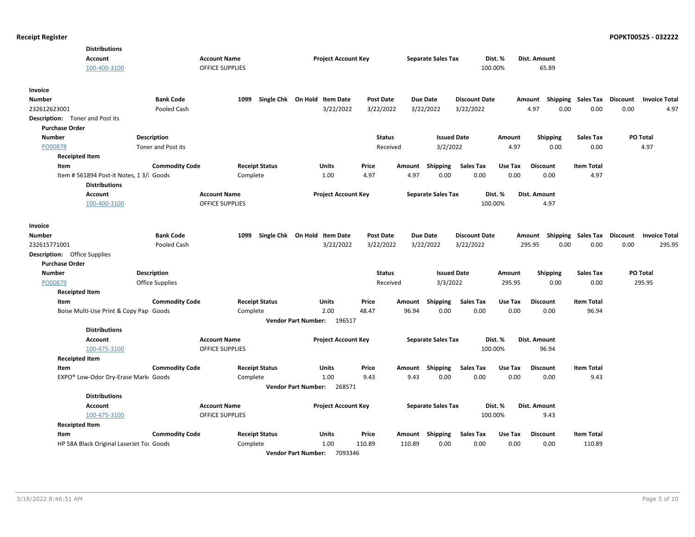| <b>Distributions</b>                                             |                       |                                   |                                       |                  |                |                           |                          |                 |                         |                             |          |                      |
|------------------------------------------------------------------|-----------------------|-----------------------------------|---------------------------------------|------------------|----------------|---------------------------|--------------------------|-----------------|-------------------------|-----------------------------|----------|----------------------|
| <b>Account</b>                                                   |                       | <b>Account Name</b>               | <b>Project Account Key</b>            |                  |                | <b>Separate Sales Tax</b> |                          | Dist. %         | Dist. Amount            |                             |          |                      |
| 100-400-3100                                                     |                       | <b>OFFICE SUPPLIES</b>            |                                       |                  |                |                           |                          | 100.00%         | 65.89                   |                             |          |                      |
| Invoice                                                          |                       |                                   |                                       |                  |                |                           |                          |                 |                         |                             |          |                      |
| Number                                                           | <b>Bank Code</b>      | 1099                              | Single Chk On Hold Item Date          | <b>Post Date</b> |                | Due Date                  | <b>Discount Date</b>     |                 | Amount                  | Shipping Sales Tax          | Discount | <b>Invoice Total</b> |
| 232612623001                                                     | Pooled Cash           |                                   | 3/22/2022                             | 3/22/2022        |                | 3/22/2022                 | 3/22/2022                |                 | 0.00<br>4.97            | 0.00                        | 0.00     | 4.97                 |
| Description: Toner and Post its                                  |                       |                                   |                                       |                  |                |                           |                          |                 |                         |                             |          |                      |
| <b>Purchase Order</b>                                            |                       |                                   |                                       |                  |                |                           |                          |                 |                         |                             |          |                      |
| <b>Number</b>                                                    | <b>Description</b>    |                                   |                                       | <b>Status</b>    |                | <b>Issued Date</b>        |                          | Amount          | <b>Shipping</b>         | <b>Sales Tax</b>            | PO Total |                      |
| PO00878                                                          | Toner and Post its    |                                   |                                       | Received         |                | 3/2/2022                  |                          | 4.97            | 0.00                    | 0.00                        | 4.97     |                      |
| <b>Receipted Item</b>                                            |                       |                                   |                                       |                  |                |                           |                          |                 |                         |                             |          |                      |
| Item                                                             | <b>Commodity Code</b> | <b>Receipt Status</b>             | <b>Units</b>                          | Price            | Amount         | Shipping                  | <b>Sales Tax</b>         | Use Tax         | <b>Discount</b>         | <b>Item Total</b>           |          |                      |
| Item # 561894 Post-it Notes, 1 3/l Goods<br><b>Distributions</b> |                       | Complete                          | 1.00                                  | 4.97             | 4.97           | 0.00                      | 0.00                     | 0.00            | 0.00                    | 4.97                        |          |                      |
| <b>Account</b>                                                   |                       | <b>Account Name</b>               | <b>Project Account Key</b>            |                  |                | <b>Separate Sales Tax</b> |                          | Dist. %         | Dist. Amount            |                             |          |                      |
| 100-400-3100                                                     |                       | <b>OFFICE SUPPLIES</b>            |                                       |                  |                |                           |                          | 100.00%         | 4.97                    |                             |          |                      |
| Invoice                                                          |                       |                                   |                                       |                  |                |                           |                          |                 |                         |                             |          |                      |
| Number                                                           | <b>Bank Code</b>      | 1099                              | Single Chk On Hold Item Date          | <b>Post Date</b> |                | <b>Due Date</b>           | <b>Discount Date</b>     |                 | Amount                  | Shipping Sales Tax Discount |          | <b>Invoice Total</b> |
| 232615771001                                                     | Pooled Cash           |                                   | 3/22/2022                             | 3/22/2022        |                | 3/22/2022                 | 3/22/2022                |                 | 0.00<br>295.95          | 0.00                        | 0.00     | 295.95               |
| <b>Description:</b> Office Supplies                              |                       |                                   |                                       |                  |                |                           |                          |                 |                         |                             |          |                      |
| <b>Purchase Order</b>                                            |                       |                                   |                                       |                  |                |                           |                          |                 |                         |                             |          |                      |
| <b>Number</b>                                                    | <b>Description</b>    |                                   |                                       | <b>Status</b>    |                | <b>Issued Date</b>        |                          | Amount          | <b>Shipping</b>         | <b>Sales Tax</b>            | PO Total |                      |
| PO00879                                                          | Office Supplies       |                                   |                                       | Received         |                | 3/3/2022                  |                          | 295.95          | 0.00                    | 0.00                        | 295.95   |                      |
| <b>Receipted Item</b>                                            |                       |                                   |                                       |                  |                |                           |                          |                 |                         |                             |          |                      |
| Item                                                             | <b>Commodity Code</b> | <b>Receipt Status</b>             | Units                                 | Price            | Amount         | <b>Shipping</b>           | <b>Sales Tax</b>         | Use Tax         | <b>Discount</b>         | <b>Item Total</b>           |          |                      |
| Boise Multi-Use Print & Copy Pap Goods                           |                       | Complete                          | 2.00                                  | 48.47            | 96.94          | 0.00                      | 0.00                     | 0.00            | 0.00                    | 96.94                       |          |                      |
|                                                                  |                       |                                   | 196517<br><b>Vendor Part Number:</b>  |                  |                |                           |                          |                 |                         |                             |          |                      |
| <b>Distributions</b>                                             |                       |                                   |                                       |                  |                |                           |                          |                 |                         |                             |          |                      |
| <b>Account</b>                                                   |                       | <b>Account Name</b>               | <b>Project Account Key</b>            |                  |                | <b>Separate Sales Tax</b> |                          | Dist. %         | Dist. Amount            |                             |          |                      |
| 100-475-3100                                                     |                       | <b>OFFICE SUPPLIES</b>            |                                       |                  |                |                           |                          | 100.00%         | 96.94                   |                             |          |                      |
| <b>Receipted Item</b>                                            |                       |                                   |                                       |                  |                |                           |                          |                 |                         |                             |          |                      |
| Item<br>EXPO® Low-Odor Dry-Erase Mark Goods                      | <b>Commodity Code</b> | <b>Receipt Status</b><br>Complete | Units<br>1.00                         | Price<br>9.43    | Amount<br>9.43 | Shipping<br>0.00          | <b>Sales Tax</b><br>0.00 | Use Tax<br>0.00 | <b>Discount</b><br>0.00 | <b>Item Total</b><br>9.43   |          |                      |
|                                                                  |                       |                                   | <b>Vendor Part Number:</b><br>268571  |                  |                |                           |                          |                 |                         |                             |          |                      |
| <b>Distributions</b>                                             |                       |                                   |                                       |                  |                |                           |                          |                 |                         |                             |          |                      |
| <b>Account</b>                                                   |                       | <b>Account Name</b>               | <b>Project Account Key</b>            |                  |                | <b>Separate Sales Tax</b> |                          | Dist. %         | Dist. Amount            |                             |          |                      |
| 100-475-3100                                                     |                       | <b>OFFICE SUPPLIES</b>            |                                       |                  |                |                           |                          | 100.00%         | 9.43                    |                             |          |                      |
| <b>Receipted Item</b>                                            |                       |                                   |                                       |                  |                |                           |                          |                 |                         |                             |          |                      |
| Item                                                             | <b>Commodity Code</b> | <b>Receipt Status</b>             | Units                                 | Price            |                | Amount Shipping           | <b>Sales Tax</b>         | Use Tax         | <b>Discount</b>         | <b>Item Total</b>           |          |                      |
| HP 58A Black Original LaserJet Toi Goods                         |                       | Complete                          | 1.00                                  | 110.89           | 110.89         | 0.00                      | 0.00                     | 0.00            | 0.00                    | 110.89                      |          |                      |
|                                                                  |                       |                                   | 7093346<br><b>Vendor Part Number:</b> |                  |                |                           |                          |                 |                         |                             |          |                      |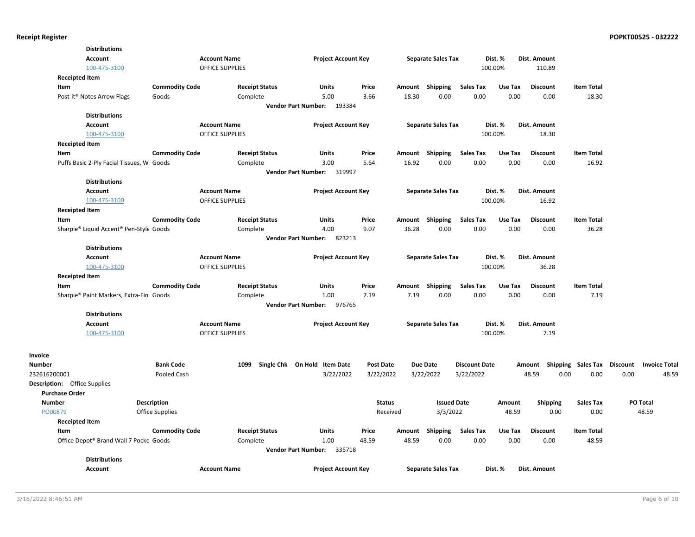|                                     | <b>Distributions</b>                                |                       |                        |                                      |                  |                 |                           |                      |         |                    |                   |                 |                      |
|-------------------------------------|-----------------------------------------------------|-----------------------|------------------------|--------------------------------------|------------------|-----------------|---------------------------|----------------------|---------|--------------------|-------------------|-----------------|----------------------|
|                                     | <b>Account</b>                                      |                       | <b>Account Name</b>    | <b>Project Account Key</b>           |                  |                 | <b>Separate Sales Tax</b> |                      | Dist. % | Dist. Amount       |                   |                 |                      |
|                                     | 100-475-3100                                        |                       | OFFICE SUPPLIES        |                                      |                  |                 |                           | 100.00%              |         | 110.89             |                   |                 |                      |
| <b>Receipted Item</b>               |                                                     |                       |                        |                                      |                  |                 |                           |                      |         |                    |                   |                 |                      |
| Item                                |                                                     | <b>Commodity Code</b> | <b>Receipt Status</b>  | <b>Units</b>                         | Price            | Amount          | Shipping                  | <b>Sales Tax</b>     | Use Tax | <b>Discount</b>    | <b>Item Total</b> |                 |                      |
|                                     | Post-it <sup>®</sup> Notes Arrow Flags              | Goods                 | Complete               | 5.00                                 | 3.66             | 18.30           | 0.00                      | 0.00                 | 0.00    | 0.00               | 18.30             |                 |                      |
|                                     |                                                     |                       |                        | 193384<br><b>Vendor Part Number:</b> |                  |                 |                           |                      |         |                    |                   |                 |                      |
|                                     | <b>Distributions</b>                                |                       |                        |                                      |                  |                 |                           |                      |         |                    |                   |                 |                      |
|                                     | <b>Account</b>                                      |                       | <b>Account Name</b>    | <b>Project Account Key</b>           |                  |                 | <b>Separate Sales Tax</b> |                      | Dist. % | Dist. Amount       |                   |                 |                      |
|                                     | 100-475-3100                                        |                       | <b>OFFICE SUPPLIES</b> |                                      |                  |                 |                           | 100.00%              |         | 18.30              |                   |                 |                      |
| <b>Receipted Item</b>               |                                                     |                       |                        |                                      |                  |                 |                           |                      |         |                    |                   |                 |                      |
| Item                                |                                                     | <b>Commodity Code</b> | <b>Receipt Status</b>  | Units                                | Price            | Amount          | Shipping                  | <b>Sales Tax</b>     | Use Tax | <b>Discount</b>    | <b>Item Total</b> |                 |                      |
|                                     | Puffs Basic 2-Ply Facial Tissues, W Goods           |                       | Complete               | 3.00                                 | 5.64             | 16.92           | 0.00                      | 0.00                 | 0.00    | 0.00               | 16.92             |                 |                      |
|                                     |                                                     |                       |                        | <b>Vendor Part Number:</b><br>319997 |                  |                 |                           |                      |         |                    |                   |                 |                      |
|                                     | <b>Distributions</b>                                |                       |                        |                                      |                  |                 |                           |                      |         |                    |                   |                 |                      |
|                                     | <b>Account</b>                                      |                       | <b>Account Name</b>    | <b>Project Account Key</b>           |                  |                 | <b>Separate Sales Tax</b> |                      | Dist. % | Dist. Amount       |                   |                 |                      |
|                                     | 100-475-3100                                        |                       | <b>OFFICE SUPPLIES</b> |                                      |                  |                 |                           | 100.00%              |         | 16.92              |                   |                 |                      |
| <b>Receipted Item</b>               |                                                     |                       |                        |                                      |                  |                 |                           |                      |         |                    |                   |                 |                      |
| Item                                |                                                     | <b>Commodity Code</b> | <b>Receipt Status</b>  | Units                                | Price            | Amount          | Shipping                  | <b>Sales Tax</b>     | Use Tax | <b>Discount</b>    | <b>Item Total</b> |                 |                      |
|                                     | Sharpie® Liquid Accent® Pen-Style Goods             |                       | Complete               | 4.00                                 | 9.07             | 36.28           | 0.00                      | 0.00                 | 0.00    | 0.00               | 36.28             |                 |                      |
|                                     |                                                     |                       |                        | <b>Vendor Part Number:</b><br>823213 |                  |                 |                           |                      |         |                    |                   |                 |                      |
|                                     | <b>Distributions</b>                                |                       |                        |                                      |                  |                 |                           |                      |         |                    |                   |                 |                      |
|                                     | <b>Account</b>                                      |                       | <b>Account Name</b>    | <b>Project Account Key</b>           |                  |                 | <b>Separate Sales Tax</b> |                      | Dist. % | Dist. Amount       |                   |                 |                      |
|                                     | 100-475-3100                                        |                       | <b>OFFICE SUPPLIES</b> |                                      |                  |                 |                           | 100.00%              |         | 36.28              |                   |                 |                      |
| <b>Receipted Item</b>               |                                                     |                       |                        |                                      |                  |                 |                           |                      |         |                    |                   |                 |                      |
| Item                                |                                                     | <b>Commodity Code</b> | <b>Receipt Status</b>  | <b>Units</b>                         | Price            | Amount          | Shipping                  | <b>Sales Tax</b>     | Use Tax | <b>Discount</b>    | <b>Item Total</b> |                 |                      |
|                                     | Sharpie <sup>®</sup> Paint Markers, Extra-Fin Goods |                       | Complete               | 1.00                                 | 7.19             | 7.19            | 0.00                      | 0.00                 | 0.00    | 0.00               | 7.19              |                 |                      |
|                                     |                                                     |                       |                        | <b>Vendor Part Number:</b><br>976765 |                  |                 |                           |                      |         |                    |                   |                 |                      |
|                                     | <b>Distributions</b>                                |                       |                        |                                      |                  |                 |                           |                      |         |                    |                   |                 |                      |
|                                     | <b>Account</b>                                      |                       | <b>Account Name</b>    | <b>Project Account Key</b>           |                  |                 | <b>Separate Sales Tax</b> |                      | Dist. % | Dist. Amount       |                   |                 |                      |
|                                     | 100-475-3100                                        |                       | <b>OFFICE SUPPLIES</b> |                                      |                  |                 |                           | 100.00%              |         | 7.19               |                   |                 |                      |
|                                     |                                                     |                       |                        |                                      |                  |                 |                           |                      |         |                    |                   |                 |                      |
| Invoice                             |                                                     |                       |                        |                                      |                  |                 |                           |                      |         |                    |                   |                 |                      |
| Number                              |                                                     | <b>Bank Code</b>      | 1099                   | Single Chk On Hold Item Date         | <b>Post Date</b> | <b>Due Date</b> |                           | <b>Discount Date</b> |         | Shipping<br>Amount | <b>Sales Tax</b>  | <b>Discount</b> | <b>Invoice Total</b> |
| 232616200001                        |                                                     | Pooled Cash           |                        | 3/22/2022                            | 3/22/2022        | 3/22/2022       |                           | 3/22/2022            |         | 48.59<br>0.00      | 0.00              | 0.00            | 48.59                |
| <b>Description:</b> Office Supplies |                                                     |                       |                        |                                      |                  |                 |                           |                      |         |                    |                   |                 |                      |
| <b>Purchase Order</b>               |                                                     |                       |                        |                                      |                  |                 |                           |                      |         |                    |                   |                 |                      |
| <b>Number</b>                       |                                                     | <b>Description</b>    |                        |                                      | <b>Status</b>    |                 | <b>Issued Date</b>        |                      | Amount  | <b>Shipping</b>    | <b>Sales Tax</b>  |                 | PO Total             |
| PO00879                             |                                                     | Office Supplies       |                        |                                      | Received         |                 | 3/3/2022                  |                      | 48.59   | 0.00               | 0.00              |                 | 48.59                |
| <b>Receipted Item</b>               |                                                     |                       |                        |                                      |                  |                 |                           |                      |         |                    |                   |                 |                      |
| Item                                |                                                     | <b>Commodity Code</b> | <b>Receipt Status</b>  | Units                                | Price            | Amount          | Shipping                  | <b>Sales Tax</b>     | Use Tax | <b>Discount</b>    | <b>Item Total</b> |                 |                      |
|                                     | Office Depot® Brand Wall 7 Pocke Goods              |                       | Complete               | 1.00                                 | 48.59            | 48.59           | 0.00                      | 0.00                 | 0.00    | 0.00               | 48.59             |                 |                      |
|                                     |                                                     |                       |                        | Vendor Part Number: 335718           |                  |                 |                           |                      |         |                    |                   |                 |                      |
|                                     | <b>Distributions</b>                                |                       |                        |                                      |                  |                 |                           |                      |         |                    |                   |                 |                      |
|                                     | Account                                             |                       | <b>Account Name</b>    | <b>Project Account Key</b>           |                  |                 | <b>Separate Sales Tax</b> |                      | Dist. % | Dist. Amount       |                   |                 |                      |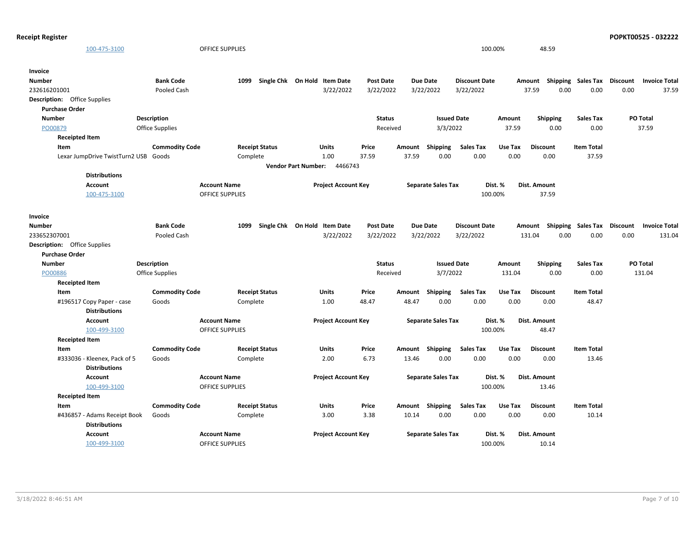|                                     | 100-475-3100                                         |                        | OFFICE SUPPLIES        |                              |                            |                            |                  |        |                           |                      | 100.00% | 48.59           |      |                                    |      |                      |
|-------------------------------------|------------------------------------------------------|------------------------|------------------------|------------------------------|----------------------------|----------------------------|------------------|--------|---------------------------|----------------------|---------|-----------------|------|------------------------------------|------|----------------------|
| <b>Invoice</b>                      |                                                      |                        |                        |                              |                            |                            |                  |        |                           |                      |         |                 |      |                                    |      |                      |
| <b>Number</b>                       |                                                      | <b>Bank Code</b>       | 1099                   | Single Chk On Hold Item Date |                            |                            | <b>Post Date</b> |        | <b>Due Date</b>           | <b>Discount Date</b> |         |                 |      | Amount Shipping Sales Tax Discount |      | <b>Invoice Total</b> |
| 232616201001                        |                                                      | Pooled Cash            |                        |                              |                            | 3/22/2022                  | 3/22/2022        |        | 3/22/2022                 | 3/22/2022            |         | 37.59           | 0.00 | 0.00                               | 0.00 | 37.59                |
| <b>Description:</b> Office Supplies |                                                      |                        |                        |                              |                            |                            |                  |        |                           |                      |         |                 |      |                                    |      |                      |
| <b>Purchase Order</b>               |                                                      |                        |                        |                              |                            |                            |                  |        |                           |                      |         |                 |      |                                    |      |                      |
| <b>Number</b>                       |                                                      | <b>Description</b>     |                        |                              |                            |                            | <b>Status</b>    |        | <b>Issued Date</b>        |                      | Amount  | <b>Shipping</b> |      | <b>Sales Tax</b>                   |      | PO Total             |
| PO00879                             |                                                      | <b>Office Supplies</b> |                        |                              |                            |                            | Received         |        | 3/3/2022                  |                      | 37.59   |                 | 0.00 | 0.00                               |      | 37.59                |
| <b>Receipted Item</b>               |                                                      |                        |                        |                              |                            |                            |                  |        |                           |                      |         |                 |      |                                    |      |                      |
| Item                                |                                                      | <b>Commodity Code</b>  |                        | <b>Receipt Status</b>        |                            | Units                      | Price            | Amount | Shipping                  | <b>Sales Tax</b>     | Use Tax | <b>Discount</b> |      | <b>Item Total</b>                  |      |                      |
|                                     | Lexar JumpDrive TwistTurn2 USB Goods                 |                        |                        | Complete                     |                            | 1.00                       | 37.59            | 37.59  | 0.00                      | 0.00                 | 0.00    | 0.00            |      | 37.59                              |      |                      |
|                                     |                                                      |                        |                        |                              | <b>Vendor Part Number:</b> | 4466743                    |                  |        |                           |                      |         |                 |      |                                    |      |                      |
|                                     | <b>Distributions</b>                                 |                        |                        |                              |                            |                            |                  |        |                           |                      |         |                 |      |                                    |      |                      |
|                                     | Account                                              |                        | <b>Account Name</b>    |                              |                            | <b>Project Account Key</b> |                  |        | <b>Separate Sales Tax</b> |                      | Dist. % | Dist. Amount    |      |                                    |      |                      |
|                                     | 100-475-3100                                         |                        | <b>OFFICE SUPPLIES</b> |                              |                            |                            |                  |        |                           |                      | 100.00% | 37.59           |      |                                    |      |                      |
|                                     |                                                      |                        |                        |                              |                            |                            |                  |        |                           |                      |         |                 |      |                                    |      |                      |
| <b>Invoice</b>                      |                                                      |                        |                        |                              |                            |                            |                  |        |                           |                      |         |                 |      |                                    |      |                      |
| <b>Number</b>                       |                                                      | <b>Bank Code</b>       | 1099                   | Single Chk On Hold Item Date |                            |                            | <b>Post Date</b> |        | <b>Due Date</b>           | <b>Discount Date</b> |         |                 |      | Amount Shipping Sales Tax Discount |      | <b>Invoice Total</b> |
| 233652307001                        |                                                      | Pooled Cash            |                        |                              |                            | 3/22/2022                  | 3/22/2022        |        | 3/22/2022                 | 3/22/2022            |         | 131.04          | 0.00 | 0.00                               | 0.00 | 131.04               |
| <b>Description:</b> Office Supplies |                                                      |                        |                        |                              |                            |                            |                  |        |                           |                      |         |                 |      |                                    |      |                      |
| <b>Purchase Order</b>               |                                                      |                        |                        |                              |                            |                            |                  |        |                           |                      |         |                 |      |                                    |      |                      |
| <b>Number</b>                       |                                                      | <b>Description</b>     |                        |                              |                            |                            | <b>Status</b>    |        | <b>Issued Date</b>        |                      | Amount  | <b>Shipping</b> |      | <b>Sales Tax</b>                   |      | PO Total             |
| PO00886                             |                                                      | <b>Office Supplies</b> |                        |                              |                            |                            | Received         |        | 3/7/2022                  |                      | 131.04  |                 | 0.00 | 0.00                               |      | 131.04               |
| <b>Receipted Item</b>               |                                                      |                        |                        |                              |                            |                            |                  |        |                           |                      |         |                 |      |                                    |      |                      |
| Item                                |                                                      | <b>Commodity Code</b>  |                        | <b>Receipt Status</b>        |                            | Units                      | Price            |        | Amount Shipping           | <b>Sales Tax</b>     | Use Tax | <b>Discount</b> |      | <b>Item Total</b>                  |      |                      |
|                                     | #196517 Copy Paper - case<br><b>Distributions</b>    | Goods                  |                        | Complete                     |                            | 1.00                       | 48.47            | 48.47  | 0.00                      | 0.00                 | 0.00    | 0.00            |      | 48.47                              |      |                      |
|                                     | <b>Account</b>                                       |                        | <b>Account Name</b>    |                              |                            | <b>Project Account Key</b> |                  |        | <b>Separate Sales Tax</b> |                      | Dist. % | Dist. Amount    |      |                                    |      |                      |
|                                     | 100-499-3100                                         |                        | <b>OFFICE SUPPLIES</b> |                              |                            |                            |                  |        |                           |                      | 100.00% | 48.47           |      |                                    |      |                      |
| <b>Receipted Item</b>               |                                                      |                        |                        |                              |                            |                            |                  |        |                           |                      |         |                 |      |                                    |      |                      |
| Item                                |                                                      | <b>Commodity Code</b>  |                        | <b>Receipt Status</b>        |                            | Units                      | Price            |        | Amount Shipping           | Sales Tax            | Use Tax | <b>Discount</b> |      | <b>Item Total</b>                  |      |                      |
|                                     | #333036 - Kleenex, Pack of 5<br><b>Distributions</b> | Goods                  |                        | Complete                     |                            | 2.00                       | 6.73             | 13.46  | 0.00                      | 0.00                 | 0.00    | 0.00            |      | 13.46                              |      |                      |
|                                     | Account                                              |                        | <b>Account Name</b>    |                              |                            | <b>Project Account Key</b> |                  |        | <b>Separate Sales Tax</b> |                      | Dist. % | Dist. Amount    |      |                                    |      |                      |
|                                     | 100-499-3100                                         |                        | <b>OFFICE SUPPLIES</b> |                              |                            |                            |                  |        |                           |                      | 100.00% | 13.46           |      |                                    |      |                      |
| <b>Receipted Item</b>               |                                                      |                        |                        |                              |                            |                            |                  |        |                           |                      |         |                 |      |                                    |      |                      |
| Item                                |                                                      | <b>Commodity Code</b>  |                        | <b>Receipt Status</b>        |                            | Units                      | Price            |        | Amount Shipping           | Sales Tax            | Use Tax | <b>Discount</b> |      | <b>Item Total</b>                  |      |                      |
|                                     | #436857 - Adams Receipt Book<br><b>Distributions</b> | Goods                  |                        | Complete                     |                            | 3.00                       | 3.38             | 10.14  | 0.00                      | 0.00                 | 0.00    | 0.00            |      | 10.14                              |      |                      |
|                                     | Account                                              |                        | <b>Account Name</b>    |                              |                            | <b>Project Account Key</b> |                  |        | <b>Separate Sales Tax</b> |                      | Dist. % | Dist. Amount    |      |                                    |      |                      |

100-499-3100 OFFICE SUPPLIES 100.00% 10.14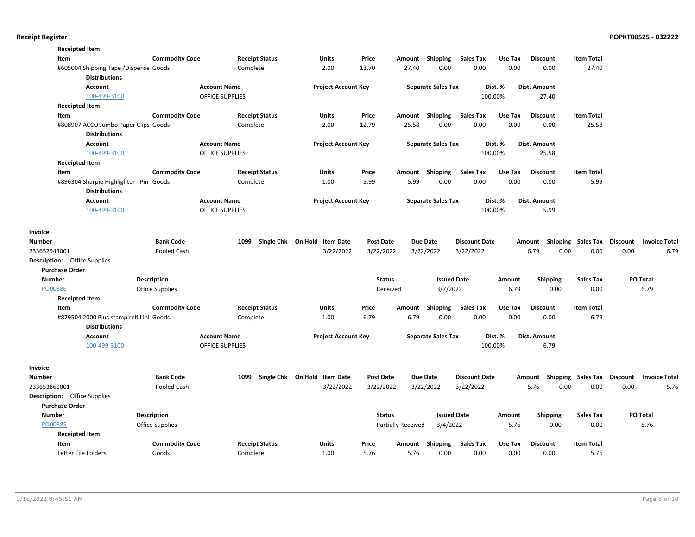| <b>Receipted Item</b>               |                                         |                        |                        |                       |                              |                  |                           |                           |                      |               |                     |                           |                 |                      |
|-------------------------------------|-----------------------------------------|------------------------|------------------------|-----------------------|------------------------------|------------------|---------------------------|---------------------------|----------------------|---------------|---------------------|---------------------------|-----------------|----------------------|
| Item                                |                                         | <b>Commodity Code</b>  |                        | <b>Receipt Status</b> | Units                        | Price            |                           | Amount Shipping           | <b>Sales Tax</b>     | Use Tax       | <b>Discount</b>     | <b>Item Total</b>         |                 |                      |
|                                     | #605004 Shipping Tape / Dispense Goods  |                        |                        | Complete              | 2.00                         | 13.70            | 27.40                     | 0.00                      | 0.00                 | 0.00          | 0.00                | 27.40                     |                 |                      |
|                                     | <b>Distributions</b>                    |                        |                        |                       |                              |                  |                           |                           |                      |               |                     |                           |                 |                      |
|                                     | <b>Account</b>                          |                        | <b>Account Name</b>    |                       | <b>Project Account Key</b>   |                  |                           | <b>Separate Sales Tax</b> |                      | Dist. %       | <b>Dist. Amount</b> |                           |                 |                      |
|                                     | 100-499-3100                            |                        | <b>OFFICE SUPPLIES</b> |                       |                              |                  |                           |                           |                      | 100.00%       | 27.40               |                           |                 |                      |
| <b>Receipted Item</b>               |                                         |                        |                        |                       |                              |                  |                           |                           |                      |               |                     |                           |                 |                      |
| Item                                |                                         | <b>Commodity Code</b>  |                        | <b>Receipt Status</b> | Units                        | Price            | Amount                    | <b>Shipping</b>           | <b>Sales Tax</b>     | Use Tax       | <b>Discount</b>     | <b>Item Total</b>         |                 |                      |
|                                     | #808907 ACCO Jumbo Paper Clips Goods    |                        |                        | Complete              | 2.00                         | 12.79            | 25.58                     | 0.00                      | 0.00                 | 0.00          | 0.00                | 25.58                     |                 |                      |
|                                     | <b>Distributions</b>                    |                        |                        |                       |                              |                  |                           |                           |                      |               |                     |                           |                 |                      |
|                                     | <b>Account</b>                          |                        | <b>Account Name</b>    |                       | <b>Project Account Key</b>   |                  |                           | <b>Separate Sales Tax</b> |                      | Dist. %       | Dist. Amount        |                           |                 |                      |
|                                     | 100-499-3100                            |                        | <b>OFFICE SUPPLIES</b> |                       |                              |                  |                           |                           |                      | 100.00%       | 25.58               |                           |                 |                      |
| <b>Receipted Item</b>               |                                         |                        |                        |                       |                              |                  |                           |                           |                      |               |                     |                           |                 |                      |
| Item                                |                                         | <b>Commodity Code</b>  |                        | <b>Receipt Status</b> | Units                        | Price            | Amount                    | Shipping                  | <b>Sales Tax</b>     | Use Tax       | <b>Discount</b>     | <b>Item Total</b>         |                 |                      |
|                                     | #896304 Sharpie Highlighter - Pin Goods |                        |                        | Complete              | 1.00                         | 5.99             | 5.99                      | 0.00                      | 0.00                 | 0.00          | 0.00                | 5.99                      |                 |                      |
|                                     | <b>Distributions</b>                    |                        |                        |                       |                              |                  |                           |                           |                      |               |                     |                           |                 |                      |
|                                     | Account                                 |                        | <b>Account Name</b>    |                       | <b>Project Account Key</b>   |                  |                           | <b>Separate Sales Tax</b> |                      | Dist. %       | Dist. Amount        |                           |                 |                      |
|                                     | 100-499-3100                            |                        | <b>OFFICE SUPPLIES</b> |                       |                              |                  |                           |                           |                      | 100.00%       | 5.99                |                           |                 |                      |
|                                     |                                         |                        |                        |                       |                              |                  |                           |                           |                      |               |                     |                           |                 |                      |
| Invoice                             |                                         |                        |                        |                       |                              |                  |                           |                           |                      |               |                     |                           |                 |                      |
| Number                              |                                         | <b>Bank Code</b>       |                        | 1099                  | Single Chk On Hold Item Date | <b>Post Date</b> |                           | <b>Due Date</b>           | <b>Discount Date</b> |               |                     | Amount Shipping Sales Tax | <b>Discount</b> | <b>Invoice Total</b> |
| 233652943001                        |                                         | Pooled Cash            |                        |                       | 3/22/2022                    | 3/22/2022        |                           | 3/22/2022                 | 3/22/2022            |               | 6.79                | 0.00<br>0.00              | 0.00            | 6.79                 |
| <b>Description:</b> Office Supplies |                                         |                        |                        |                       |                              |                  |                           |                           |                      |               |                     |                           |                 |                      |
| <b>Purchase Order</b>               |                                         |                        |                        |                       |                              |                  |                           |                           |                      |               |                     |                           |                 |                      |
| <b>Number</b>                       |                                         | <b>Description</b>     |                        |                       |                              | <b>Status</b>    |                           | <b>Issued Date</b>        |                      | <b>Amount</b> | <b>Shipping</b>     | <b>Sales Tax</b>          | PO Total        |                      |
| PO00886                             |                                         | <b>Office Supplies</b> |                        |                       |                              | Received         |                           | 3/7/2022                  |                      | 6.79          | 0.00                | 0.00                      |                 | 6.79                 |
| <b>Receipted Item</b>               |                                         |                        |                        |                       |                              |                  |                           |                           |                      |               |                     |                           |                 |                      |
| Item                                |                                         | <b>Commodity Code</b>  |                        | <b>Receipt Status</b> | Units                        | Price            | Amount                    | <b>Shipping</b>           | <b>Sales Tax</b>     | Use Tax       | <b>Discount</b>     | <b>Item Total</b>         |                 |                      |
|                                     | #879504 2000 Plus stamp refill in Goods |                        |                        | Complete              | 1.00                         | 6.79             | 6.79                      | 0.00                      | 0.00                 | 0.00          | 0.00                | 6.79                      |                 |                      |
|                                     | <b>Distributions</b>                    |                        |                        |                       |                              |                  |                           |                           |                      |               |                     |                           |                 |                      |
|                                     | Account                                 |                        | <b>Account Name</b>    |                       | <b>Project Account Key</b>   |                  |                           | <b>Separate Sales Tax</b> |                      | Dist. %       | Dist. Amount        |                           |                 |                      |
|                                     | 100-499-3100                            |                        | <b>OFFICE SUPPLIES</b> |                       |                              |                  |                           |                           |                      | 100.00%       | 6.79                |                           |                 |                      |
|                                     |                                         |                        |                        |                       |                              |                  |                           |                           |                      |               |                     |                           |                 |                      |
|                                     |                                         |                        |                        |                       |                              |                  |                           |                           |                      |               |                     |                           |                 |                      |
| Invoice                             |                                         |                        |                        |                       |                              |                  |                           |                           |                      |               |                     |                           |                 |                      |
| <b>Number</b>                       |                                         | <b>Bank Code</b>       |                        | 1099                  | Single Chk On Hold Item Date | <b>Post Date</b> |                           | <b>Due Date</b>           | <b>Discount Date</b> |               |                     | Amount Shipping Sales Tax | Discount        | <b>Invoice Total</b> |
| 233653860001                        |                                         | Pooled Cash            |                        |                       | 3/22/2022                    | 3/22/2022        |                           | 3/22/2022                 | 3/22/2022            |               | 5.76                | 0.00<br>0.00              | 0.00            | 5.76                 |
| <b>Description:</b> Office Supplies |                                         |                        |                        |                       |                              |                  |                           |                           |                      |               |                     |                           |                 |                      |
| <b>Purchase Order</b>               |                                         |                        |                        |                       |                              |                  |                           |                           |                      |               |                     |                           |                 |                      |
| Number                              |                                         | <b>Description</b>     |                        |                       |                              | <b>Status</b>    |                           | <b>Issued Date</b>        |                      | Amount        | Shipping            | <b>Sales Tax</b>          | PO Total        |                      |
| PO00885                             |                                         | <b>Office Supplies</b> |                        |                       |                              |                  | <b>Partially Received</b> | 3/4/2022                  |                      | 5.76          | 0.00                | 0.00                      |                 | 5.76                 |
| <b>Receipted Item</b>               |                                         |                        |                        |                       |                              |                  |                           |                           |                      |               |                     |                           |                 |                      |
| Item                                |                                         | <b>Commodity Code</b>  |                        | <b>Receipt Status</b> | Units                        | Price            |                           | Amount Shipping           | <b>Sales Tax</b>     | Use Tax       | <b>Discount</b>     | <b>Item Total</b>         |                 |                      |
| Letter File Folders                 |                                         | Goods                  |                        | Complete              | 1.00                         | 5.76             | 5.76                      | 0.00                      | 0.00                 | 0.00          | 0.00                | 5.76                      |                 |                      |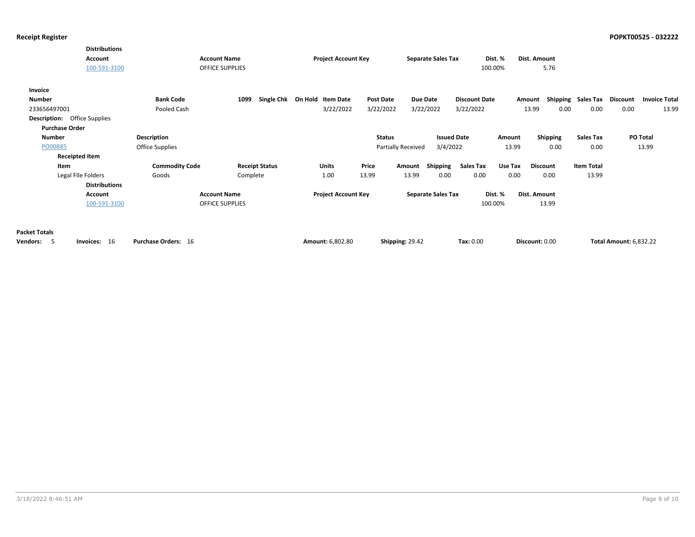|                                     | <b>Distributions</b>  |                       |                        |                              |               |                        |                           |                      |         |                 |                    |                               |                      |
|-------------------------------------|-----------------------|-----------------------|------------------------|------------------------------|---------------|------------------------|---------------------------|----------------------|---------|-----------------|--------------------|-------------------------------|----------------------|
|                                     | <b>Account</b>        |                       | <b>Account Name</b>    | <b>Project Account Key</b>   |               |                        | <b>Separate Sales Tax</b> | Dist. %              |         | Dist. Amount    |                    |                               |                      |
|                                     | 100-591-3100          |                       | <b>OFFICE SUPPLIES</b> |                              |               |                        |                           | 100.00%              |         | 5.76            |                    |                               |                      |
| Invoice                             |                       |                       |                        |                              |               |                        |                           |                      |         |                 |                    |                               |                      |
| <b>Number</b>                       |                       | <b>Bank Code</b>      | 1099                   | Single Chk On Hold Item Date | Post Date     | Due Date               |                           | <b>Discount Date</b> |         | Amount          | Shipping Sales Tax | Discount                      | <b>Invoice Total</b> |
| 233656497001                        |                       | Pooled Cash           |                        | 3/22/2022                    | 3/22/2022     | 3/22/2022              |                           | 3/22/2022            |         | 13.99<br>0.00   | 0.00               | 0.00                          | 13.99                |
| <b>Description:</b> Office Supplies |                       |                       |                        |                              |               |                        |                           |                      |         |                 |                    |                               |                      |
| <b>Purchase Order</b>               |                       |                       |                        |                              |               |                        |                           |                      |         |                 |                    |                               |                      |
| Number                              |                       | Description           |                        |                              | <b>Status</b> |                        | <b>Issued Date</b>        |                      | Amount  | <b>Shipping</b> | <b>Sales Tax</b>   |                               | <b>PO Total</b>      |
| PO00885                             |                       | Office Supplies       |                        |                              |               | Partially Received     | 3/4/2022                  |                      | 13.99   | 0.00            | 0.00               |                               | 13.99                |
|                                     | <b>Receipted Item</b> |                       |                        |                              |               |                        |                           |                      |         |                 |                    |                               |                      |
| Item                                |                       | <b>Commodity Code</b> | <b>Receipt Status</b>  | Units                        | Price         | Amount                 | <b>Shipping</b>           | Sales Tax            | Use Tax | <b>Discount</b> | <b>Item Total</b>  |                               |                      |
|                                     | Legal File Folders    | Goods                 | Complete               | 1.00                         | 13.99         | 13.99                  | 0.00                      | 0.00                 | 0.00    | 0.00            | 13.99              |                               |                      |
|                                     | <b>Distributions</b>  |                       |                        |                              |               |                        |                           |                      |         |                 |                    |                               |                      |
|                                     | <b>Account</b>        |                       | <b>Account Name</b>    | <b>Project Account Key</b>   |               |                        | <b>Separate Sales Tax</b> | Dist. %              |         | Dist. Amount    |                    |                               |                      |
|                                     | 100-591-3100          |                       | <b>OFFICE SUPPLIES</b> |                              |               |                        |                           | 100.00%              |         | 13.99           |                    |                               |                      |
|                                     |                       |                       |                        |                              |               |                        |                           |                      |         |                 |                    |                               |                      |
|                                     |                       |                       |                        |                              |               |                        |                           |                      |         |                 |                    |                               |                      |
| <b>Packet Totals</b>                |                       |                       |                        |                              |               |                        |                           |                      |         |                 |                    |                               |                      |
| Vendors: 5                          | Invoices: 16          | Purchase Orders: 16   |                        | Amount: 6,802.80             |               | <b>Shipping: 29.42</b> |                           | Tax: 0.00            |         | Discount: 0.00  |                    | <b>Total Amount: 6,832.22</b> |                      |